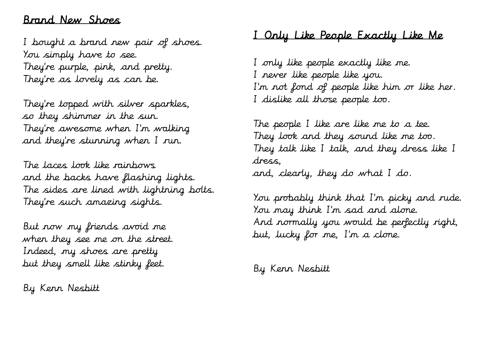#### Brand New Shoes

I bought a brand new pair of shoes. You simply have to see. They're purple, pink, and pretty. They're as lovely as can be.

They're topped with silver sparkles, so they shimmer in the sun. They're awesome when I'm walking and they're stunning when I run.

The laces look like rainbows and the backs have flashing lights. The sides are lined with lightning bolts. They're such amazing sights.

But now my friends avoid me when they see me on the street. Indeed, my shoes are pretty but they smell like stinky feet.

By Kenn Nesbitt

# I Only Like People Exactly Like Me

I only like people exactly like me. I never like people like you. I'm not fond of people like him or like her. I dislike all those people too.

The people I like are like me to a tee. They look and they sound like me too. They talk like I talk, and they dress like I dress, and, clearly, they do what I do.

You probably think that I'm picky and rude. You may think I'm sad and alone. And normally you would be perfectly right, but, lucky for me, I'm a clone.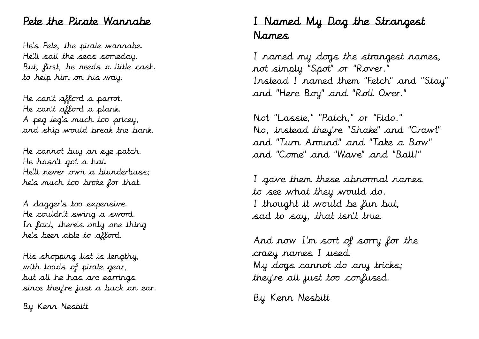#### Pete the Pirate Wannabe

He's Pete, the pirate wannabe. He'll sail the seas someday. But, first, he needs a little cash to help him on his way.

He can't afford a parrot . He can't afford a plank. A peg leg's much too pricey, and ship would break the bank.

He cannot buy an eye patch. He hasn't got a hat. He'll never own a blunderbuss; he's much too broke for that.

A dagger 's too expensive . He couldn't swing a sword . In fact, there's only one thing he's been able to afford .

His shopping list is lengthy, with loads of pirate gear, but all he has are earrings since they're just a buck an ear .

By Kenn Nesbitt

# I Named My Dog the Strangest Names

I named my dogs the strangest names, not simply "Spot" or "Rover . " Instead I named them "Fetch" and "Stay" and "Here Boy" and "Roll Over . "

Not "Lassie," "Patch," or "Fido . " No , instead they're "Shake" and "Crawl" and "Turn Around" and "Take a Bow" and "Come" and "Wave" and "Ball!"

I gave them these abnormal names to see what they would do . I thought it would be fun but, sad to say, that isn't true.

And now I'm sort of sorry for the crazy names I used. My dogs cannot do any tricks; they're all just too confused.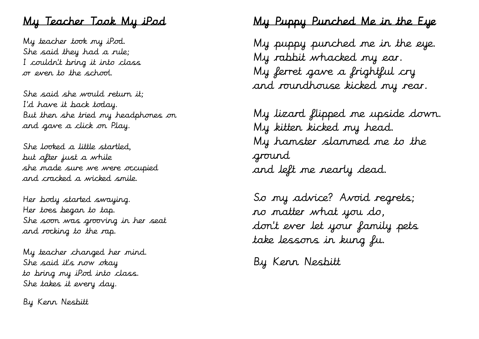# My Teacher Took My iPod

My teacher took my iPod. She said they had a rule; I couldn't bring it into class or even to the school.

She said she would return it; I'd have it back today. But then she tried my headphones on and gave a click on Play.

She looked a little startled, but after just a while she made sure we were occupied and cracked a wicked smile.

Her body started swaying. Her toes began to tap. She soon was grooving in her seat and rocking to the rap.

My teacher changed her mind. She said it's now okay to bring my iPod into class. She takes it every day.

By Kenn Nesbitt

# My Puppy Punched Me in the Eye

My puppy punched me in the eye. My rabbit whacked my ear. My ferret gave a frightful cry and roundhouse kicked my rear.

My lizard flipped me upside down. My kitten kicked my head. My hamster slammed me to the ground and left me nearly dead.

So my advice? Avoid regrets; no matter what you do, don't ever let your family pets take lessons in kung fu.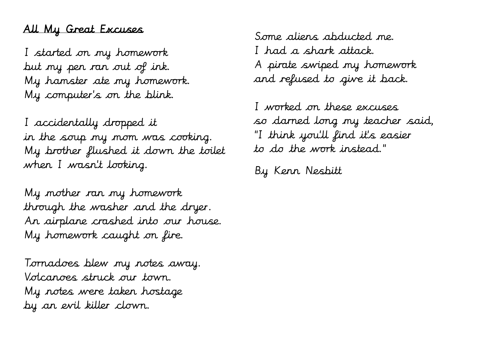# All My Great Excuses

I started on my homework but my pen ran out of ink. My hamster ate my homework. My computer' s on the blink.

I accidentally dropped it in the soup my mom was cooking. My brother flushed it down the toilet when I wasn't looking.

My mother ran my homework through the washer and the dryer. An airplane crashed into our house. My homework caught on fire.

Tornadoes blew my notes away. Volcanoes struck our town. My notes were taken hostage by an evil killer clown.

Some aliens abducted me. I had a shark attack. A pirate swiped my homework and refused to give it back.

I worked on these excuses so darned long my teacher said, "I think you'll find it's easier to do the work instead."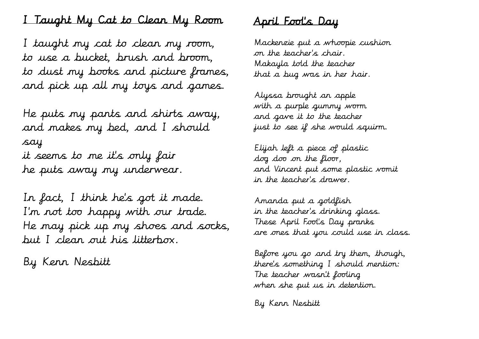## I Taught My Cat to Clean My Room

I taught my cat to clean my room, to use a bucket, brush and broom, to dust my books and picture frames, and pick up all my toys and games.

He puts my pants and shirts away, and makes my bed, and I should say it seems to me it's only fair he puts away my underwear.

In fact, I think he's got it made. I'm not too happy with our trade. He may pick up my shoes and socks, but I clean out his litterbox.

By Kenn Nesbitt

# April Fool's Day

Mackenzie put a whoopie cushion on the teacher's chair. Makayla told the teacher that a bug was in her hair.

Alyssa brought an apple with a purple gummy worm and gave it to the teacher just to see if she would squirm.

Elijah left a piece of plastic dog doo on the floor, and Vincent put some plastic vomit in the teacher's drawer.

Amanda put a goldfish in the teacher's drinking glass. These April Fool's Day pranks are ones that you could use in class.

Before you go and try them, though, there's something I should mention: The teacher wasn't fooling when she put us in detention.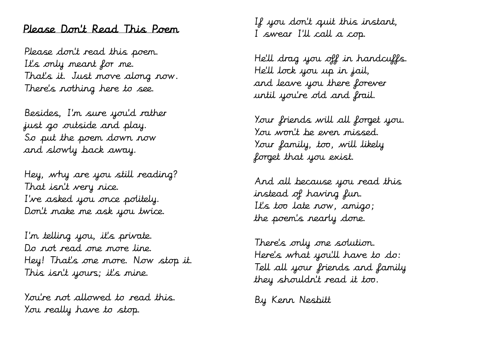#### Please Don't Read This Poem

Please don't read this poem. It's only meant for me. That's it. Just move along now. There's nothing here to see.

Besides, I'm sure you'd rather just go outside and play. So put the poem down now and slowly back away.

Hey, why are you still reading? That isn't very nice. I've asked you once politely. Don't make me ask you twice.

I'm telling you, it's private. Do not read one more line. Hey! That's one more. Now stop it. This isn't yours; it's mine.

You're not allowed to read this. You really have to stop.

If you don't quit this instant, I swear I'll call a cop.

He'll drag you off in handcuffs. He'll lock you up in jail, and leave you there forever until you're old and frail.

Your friends will all forget you. You won't be even missed. Your family, too, will likely forget that you exist.

And all because you read this instead of having fun. It's too late now, amigo; the poem's nearly done.

There's only one solution. Here's what you'll have to do: Tell all your friends and family they shouldn't read it too.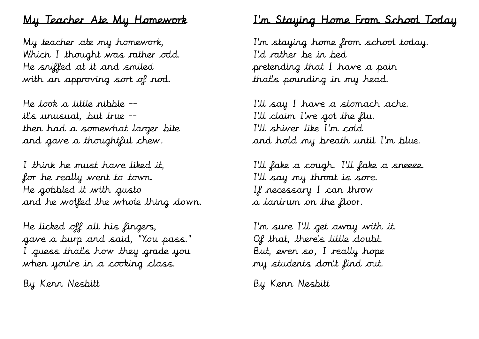### My Teacher Ate My Homework

My teacher ate my homework, Which I thought was rather odd. He sniffed at it and smiled with an approving sort of nod.

He took a little nibble - it's unusual, but true - then had a somewhat larger bite and gave a thoughtful chew.

I think he must have liked it, for he really went to town. He gobbled it with gusto and he wolfed the whole thing down.

He licked off all his fingers, gave a burp and said, "You pass." I guess that's how they grade you when you're in a cooking class.

By Kenn Nesbitt

## I'm Staying Home From School Today

I'm staying home from school today. I'd rather be in bed pretending that I have a pain that's pounding in my head.

I'll say I have a stomach ache. I'll claim I've got the flu. I'll shiver like I'm cold and hold my breath until I'm blue.

I'll fake a cough. I'll fake a sneeze. I'll say my throat is sore. If necessary I can throw a tantrum on the floor.

I'm sure I'll get away with it. Of that, there's little doubt. But, even so, I really hope my students don't find out.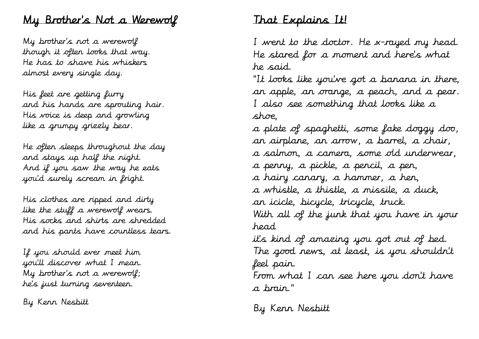## My Brother's Not a Werewolf

My brother's not a werewolf though it often looks that way. He has to shave his whiskers almost every single day.

His feet are getting furry and his hands are sprouting hair. His voice is deep and growling like a grumpy grizzly bear.

He often sleeps throughout the day and stays up half the night. And if you saw the way he eats you'd surely scream in fright.

His clothes are ripped and dirty like the stuff a werewolf wears. His socks and shirts are shredded and his pants have countless tears.

If you should ever meet him you'll discover what I mean. My brother's not a werewolf; he's just turning seventeen.

By Kenn Nesbitt

### That Explains It!

I went to the doctor. He x-rayed my head. He stared for a moment and here's what he said.

"It looks like you've got a banana in there, an apple, an orange, a peach, and a pear. I also see something that looks like a shoe,

a plate of spaghetti, some fake doggy doo, an airplane, an arrow, a barrel, a chair, a salmon, a camera, some old underwear, a penny, a pickle, a pencil, a pen, a hairy canary, a hammer, a hen, a whistle, a thistle, a missile, a duck, an icicle, bicycle, tricycle, truck. With all of the junk that you have in your head it's kind of amazing you got out of bed. The good news, at least, is you shouldn't feel pain.

From what I can see here you don't have a brain."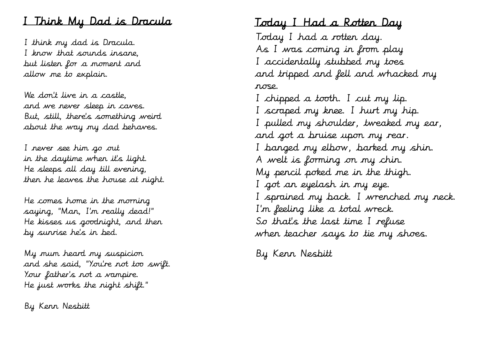# I Think My Dad is Dracula

I think my dad is Dracula. I know that sounds insane, but listen for a moment and allow me to explain.

We don't live in a castle, and we never sleep in caves. But, still, there's something weird about the way my dad behaves.

I never see him go out in the daytime when it's light. He sleeps all day till evening, then he leaves the house at night.

He comes home in the morning saying, "Man, I'm really dead!" He kisses us goodnight, and then by sunrise he's in bed.

My mum heard my suspicion and she said, "You're not too swift. Your father's not a vampire. He just works the night shift."

By Kenn Nesbitt

#### Today I Had a Rotten Day

Today I had a rotten day. As I was coming in from play I accidentally stubbed my toes and tripped and fell and whacked my nose.

I chipped a tooth. I cut my lip. I scraped my knee. I hurt my hip. I pulled my shoulder, tweaked my ear, and got a bruise upon my rear. I banged my elbow, barked my shin. A welt is forming on my chin. My pencil poked me in the thigh. I got an eyelash in my eye. I sprained my back. I wrenched my neck. I'm feeling like a total wreck. So that's the last time I refuse when teacher says to tie my shoes.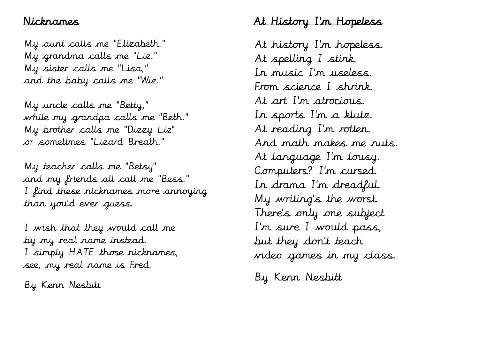## Nicknames

My aunt calls me "Elizabeth." My grandma calls me "Liz." My sister calls me "Lisa," and the baby calls me "Wiz."

My uncle calls me "Betty," while my grandpa calls me "Beth." My brother calls me "Dizzy Liz" or sometimes "Lizard Breath."

My teacher calls me "Betsy" and my friends all call me "Bess." I find these nicknames more annoying than you'd ever guess.

I wish that they would call me by my real name instead. I simply HATE those nicknames, see, my real name is Fred.

By Kenn Nesbitt

# At History I'm Hopeless

At history I'm hopeless. At spelling I stink. In music I'm useless. From science I shrink. At art I'm atrocious. In sports I'm a klutz. At reading I'm rotten. And math makes me nuts. At language I'm lousy. Computers? I'm cursed. In drama I'm dreadful. My writing's the worst. There's only one subject I'm sure I would pass, but they don't teach video games in my class.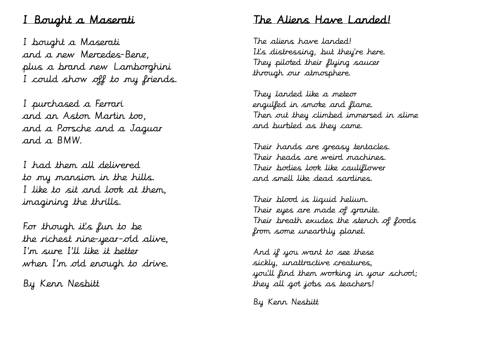### I Bought a Maserati

I bought a Maserati and a new Mercedes-Benz, plus a brand new Lamborghini I could show off to my friends.

I purchased a Ferrari and an Aston Martin too, and a Porsche and a Jaguar and a BMW.

I had them all delivered to my mansion in the hills. I like to sit and look at them, imagining the thrills.

For though it's fun to be the richest nine-year-old alive, I'm sure I'll like it better when I'm old enough to drive.

By Kenn Nesbitt

### The Aliens Have Landed!

The aliens have landed! It's distressing, but they're here. They piloted their flying saucer through our atmosphere.

They landed like a meteor engulfed in smoke and flame. Then out they climbed immersed in slime and burbled as they came.

Their hands are greasy tentacles. Their heads are weird machines. Their bodies look like cauliflower and smell like dead sardines.

Their blood is liquid helium. Their eyes are made of granite. Their breath exudes the stench of foods from some unearthly planet.

And if you want to see these sickly, unattractive creatures, you'll find them working in your school; they all got jobs as teachers!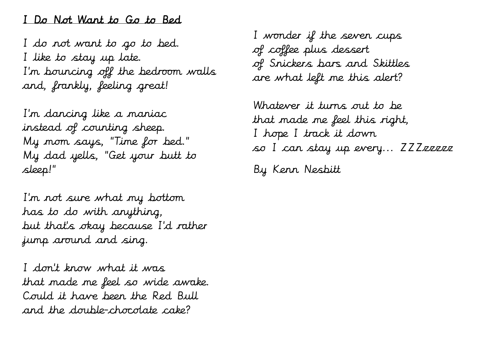#### I Do Not Want to Go to Bed

I do not want to go to bed. I like to stay up late. I'm bouncing off the bedroom walls and, frankly, feeling great!

I'm dancing like a maniac instead of counting sheep. My mom says, "Time for bed." My dad yells, "Get your butt to sleep!"

I'm not sure what my bottom has to do with anything, but that's okay because I'd rather jump around and sing.

I don't know what it was that made me feel so wide awake. Could it have been the Red Bull and the double-chocolate cake?

I wonder if the seven cups of coffee plus dessert of Snickers bars and Skittles are what left me this alert?

Whatever it turns out to be that made me feel this right, I hope I track it down so I can stay up every... ZZZzzzzz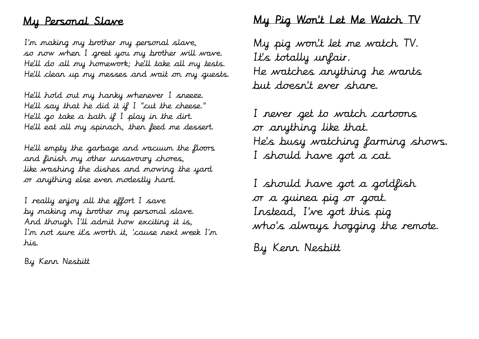# My Personal Slave

I'm making my brother my personal slave, so now when I greet you my brother will wave. He'll do all my homework; he'll take all my tests. He'll clean up my messes and wait on my guests.

He'll hold out my hanky whenever I sneeze. He'll say that he did it if I "cut the cheese." He'll go take a bath if I play in the dirt. He'll eat all my spinach, then feed me dessert.

He'll empty the garbage and vacuum the floors and finish my other unsavoury chores, like washing the dishes and mowing the yard or anything else even modestly hard.

I really enjoy all the effort I save by making my brother my personal slave. And though I'll admit how exciting it is, I'm not sure it's worth it, 'cause next week I'm his.

By Kenn Nesbitt

## My Pig Won't Let Me Watch TV

My pig won't let me watch TV. It's totally unfair. He watches anything he wants but doesn't ever share.

I never get to watch cartoons or anything like that. He's busy watching farming shows. I should have got a cat.

I should have got a goldfish or a guinea pig or goat. Instead, I've got this pig who 's always hogging the remote.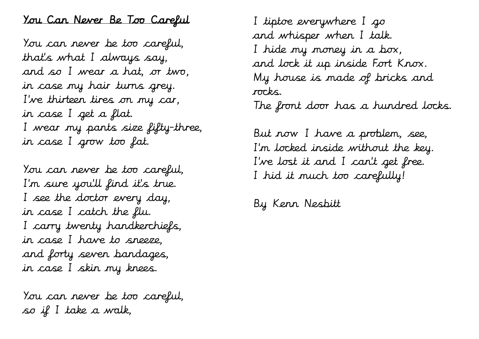### You Can Never Be Too Careful

You can never be too careful, that's what I always say, and so I wear a hat, or two, in case my hair turns grey. I've thirteen tires on my car, in case I get a flat. I wear my pants size fifty-three, in case I grow too fat.

You can never be too careful, I'm sure you'll find it's true. I see the doctor every day, in case I catch the flu. I carry twenty handkerchiefs, in case I have to sneeze, and forty seven bandages, in case I skin my knees.

You can never be too careful, so if I take a walk,

I tiptoe everywhere I go and whisper when I talk. I hide my money in a box, and lock it up inside Fort Knox. My house is made of bricks and rocks.

The front door has a hundred locks.

But now I have a problem, see, I'm locked inside without the key. I've lost it and I can't get free. I hid it much too carefully!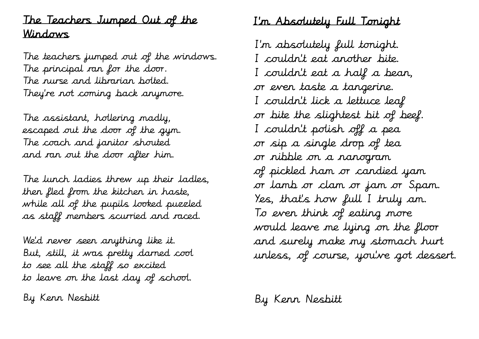# The Teachers Jumped Out of the Windows

The teachers jumped out of the windows. The principal ran for the door. The nurse and librarian bolted. They're not coming back anymore.

The assistant, hollering madly, escaped out the door of the gym. The coach and janitor shouted and ran out the door after him.

The lunch ladies threw up their ladles, then fled from the kitchen in haste, while all of the pupils looked puzzled as staff members scurried and raced.

We'd never seen anything like it. But, still, it was pretty darned cool to see all the staff so excited to leave on the last day of school.

By Kenn Nesbitt

# I'm Absolutely Full Tonight

I'm absolutely full tonight. I couldn't eat another bite. I couldn't eat a half a bean, or even taste a tangerine. I couldn't lick a lettuce leaf or bite the slightest bit of beef. I couldn't polish off a pea or sip a single drop of tea or nibble on a nanogram of pickled ham or candied yam or lamb or clam or jam or Spam. Yes, that's how full I truly am. To even think of eating more would leave me lying on the floor and surely make my stomach hurt unless, of course, you've got dessert.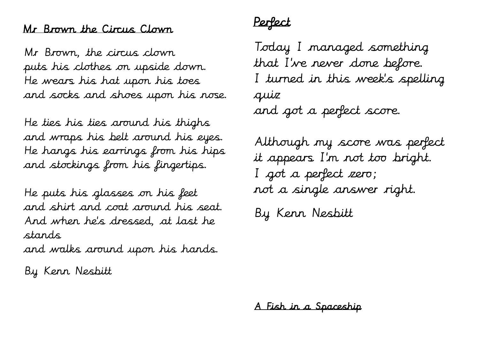#### Mr Brown the Circus Clown

Mr Brown, the circus clown puts his clothes on upside down. He wears his hat upon his toes and socks and shoes upon his nose.

He ties his ties around his thighs and wraps his belt around his eyes. He hangs his earrings from his hips and stockings from his fingertips.

He puts his glasses on his feet and shirt and coat around his seat. And when he's dressed, at last he stands

and walks around upon his hands.

By Kenn Nesbitt

Perfect

Today I managed something that I've never done before. I turned in this week's spelling quiz and got a perfect score.

Although my score was perfect it appears I'm not too bright. I got a perfect zero; not a single answer right. By Kenn Nesbitt

A Fish in a Spaceship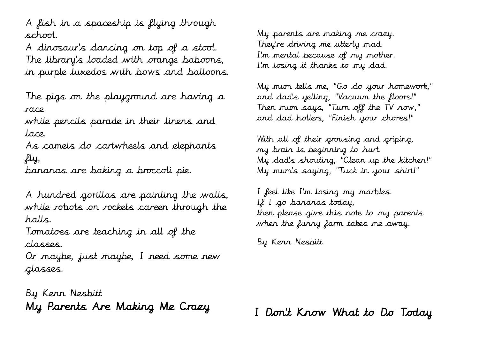A fish in a spaceship is flying through school.

A dinosaur's dancing on top of a stool. The library's loaded with orange baboons, in purple tuxedos with bows and balloons.

The pigs on the playground are having a race

while pencils parade in their linens and lace.

As camels do cartwheels and elephants fly,

bananas are baking a broccoli pie.

A hundred gorillas are painting the walls, while robots on rockets careen through the halls.

Tomatoes are teaching in all of the classes.

Or maybe, just maybe, I need some new glasses.

By Kenn Nesbitt My Parents Are Making Me Crazy My parents are making me crazy. They're driving me utterly mad. I'm mental because of my mother. I'm losing it thanks to my dad.

My mum tells me, "Go do your homework," and dad's yelling, "Vacuum the floors!" Then mum says, "Turn off the TV now," and dad hollers, "Finish your chores!"

With all of their grousing and griping, my brain is beginning to hurt. My dad's shouting, "Clean up the kitchen!" My mum's saying, "Tuck in your shirt!"

I feel like I'm losing my marbles. If I go bananas today, then please give this note to my parents when the funny farm takes me away.

By Kenn Nesbitt

I Don't Know What to Do Today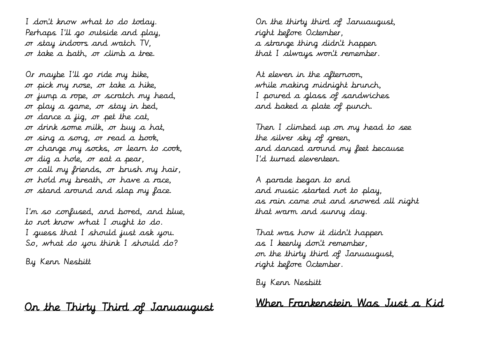I don't know what to do today. Perhaps I'll go outside and play, or stay indoors and watch TV, or take a bath, or climb a tree.

Or maybe I'll go ride my bike, or pick my nose, or take a hike, or jump a rope, or scratch my head, or play a game, or stay in bed, or dance a jig, or pet the cat, or drink some milk, or buy a hat, or sing a song, or read a book, or change my socks, or learn to cook, or dig a hole, or eat a pear, or call my friends, or brush my hair, or hold my breath, or have a race, or stand around and slap my face.

I'm so confused, and bored, and blue, to not know what I ought to do. I guess that I should just ask you. So, what do you think I should do?

By Kenn Nesbitt

### On the Thirty Third of Januaugust

On the thirty third of Januaugust, right before Octember, a strange thing didn't happen that I always won't remember.

At eleven in the afternoon, while making midnight brunch, I poured a glass of sandwiches and baked a plate of punch.

Then I climbed up on my head to see the silver sky of green, and danced around my feet because I'd turned eleventeen.

A parade began to end and music started not to play, as rain came out and snowed all night that warm and sunny day.

That was how it didn't happen as I keenly don't remember, on the thirty third of Januaugust, right before Octember.

By Kenn Nesbitt

When Frankenstein Was Just a Kid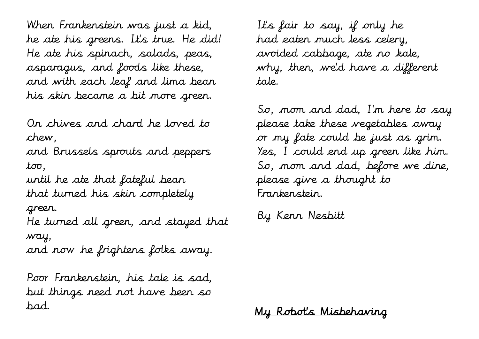When Frankenstein was just a kid, he ate his greens. It's true. He did! He ate his spinach, salads, peas, asparagus, and foods like these, and with each leaf and lima bean his skin became a bit more green.

On chives and chard he loved to chew,

and Brussels sprouts and peppers too,

until he ate that fateful bean that turned his skin completely green.

He turned all green, and stayed that way,

and now he frightens folks away.

Poor Frankenstein, his tale is sad, but things need not have been so bad.

It's fair to say, if only he had eaten much less celery, avoided cabbage, ate no kale, why, then, we'd have a different tale.

So, mom and dad, I'm here to say please take these vegetables away or my fate could be just as grim. Yes, I could end up green like him. So, mom and dad, before we dine, please give a thought to Frankenstein.

By Kenn Nesbitt

My Robot's Misbehaving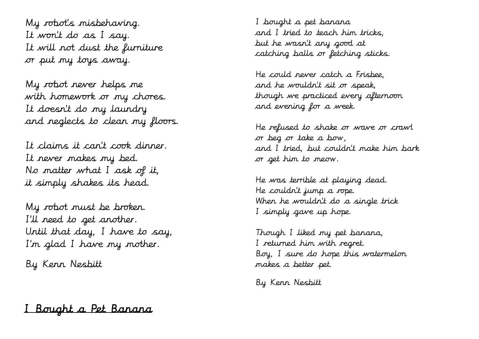My robot's misbehaving. It won't do as I say. It will not dust the furniture or put my toys away.

My robot never helps me with homework or my chores. It doesn't do my laundry and neglects to clean my floors.

It claims it can't cook dinner. It never makes my bed. No matter what I ask of it, it simply shakes its head.

My robot must be broken. I'll need to get another. Until that day, I have to say, I'm glad I have my mother.

By Kenn Nesbitt

I bought a pet banana and I tried to teach him tricks, but he wasn't any good at catching balls or fetching sticks.

He could never catch a Frisbee, and he wouldn't sit or speak, though we practiced every afternoon and evening for a week.

He refused to shake or wave or crawl or beg or take a bow, and I tried, but couldn't make him bark or get him to meow.

He was terrible at playing dead. He couldn't jump a rope. When he wouldn't do a single trick I simply gave up hope.

Though I liked my pet banana, I returned him with regret. Boy, I sure do hope this watermelon makes a better pet.

By Kenn Nesbitt

# I Bought a Pet Banana